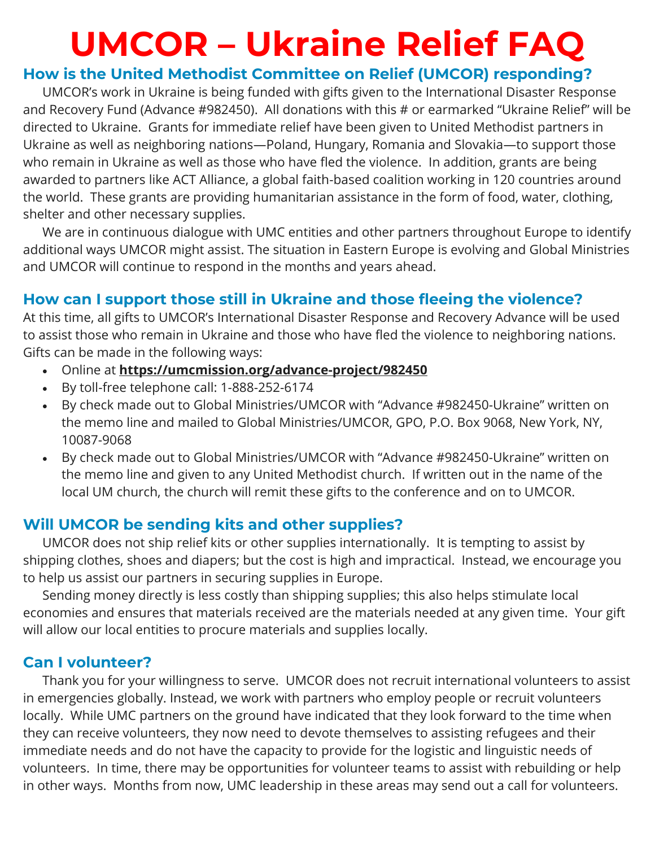# **UMCOR – Ukraine Relief FAQ**

## **How is the United Methodist Committee on Relief (UMCOR) responding?**

UMCOR's work in Ukraine is being funded with gifts given to the International Disaster Response and Recovery Fund (Advance #982450). All donations with this # or earmarked "Ukraine Relief" will be directed to Ukraine. Grants for immediate relief have been given to United Methodist partners in Ukraine as well as neighboring nations—Poland, Hungary, Romania and Slovakia—to support those who remain in Ukraine as well as those who have fled the violence. In addition, grants are being awarded to partners like ACT Alliance, a global faith-based coalition working in 120 countries around the world. These grants are providing humanitarian assistance in the form of food, water, clothing, shelter and other necessary supplies.

We are in continuous dialogue with UMC entities and other partners throughout Europe to identify additional ways UMCOR might assist. The situation in Eastern Europe is evolving and Global Ministries and UMCOR will continue to respond in the months and years ahead.

## **How can I support those still in Ukraine and those fleeing the violence?**

At this time, all gifts to UMCOR's International Disaster Response and Recovery Advance will be used to assist those who remain in Ukraine and those who have fled the violence to neighboring nations. Gifts can be made in the following ways:

- Online at **<https://umcmission.org/advance-project/982450>**
- By toll-free telephone call: 1-888-252-6174
- By check made out to Global Ministries/UMCOR with "Advance #982450-Ukraine" written on the memo line and mailed to Global Ministries/UMCOR, GPO, P.O. Box 9068, New York, NY, 10087-9068
- By check made out to Global Ministries/UMCOR with "Advance #982450-Ukraine" written on the memo line and given to any United Methodist church. If written out in the name of the local UM church, the church will remit these gifts to the conference and on to UMCOR.

## **Will UMCOR be sending kits and other supplies?**

UMCOR does not ship relief kits or other supplies internationally. It is tempting to assist by shipping clothes, shoes and diapers; but the cost is high and impractical. Instead, we encourage you to help us assist our partners in securing supplies in Europe.

Sending money directly is less costly than shipping supplies; this also helps stimulate local economies and ensures that materials received are the materials needed at any given time. Your gift will allow our local entities to procure materials and supplies locally.

### **Can I volunteer?**

Thank you for your willingness to serve. UMCOR does not recruit international volunteers to assist in emergencies globally. Instead, we work with partners who employ people or recruit volunteers locally. While UMC partners on the ground have indicated that they look forward to the time when they can receive volunteers, they now need to devote themselves to assisting refugees and their immediate needs and do not have the capacity to provide for the logistic and linguistic needs of volunteers. In time, there may be opportunities for volunteer teams to assist with rebuilding or help in other ways. Months from now, UMC leadership in these areas may send out a call for volunteers.